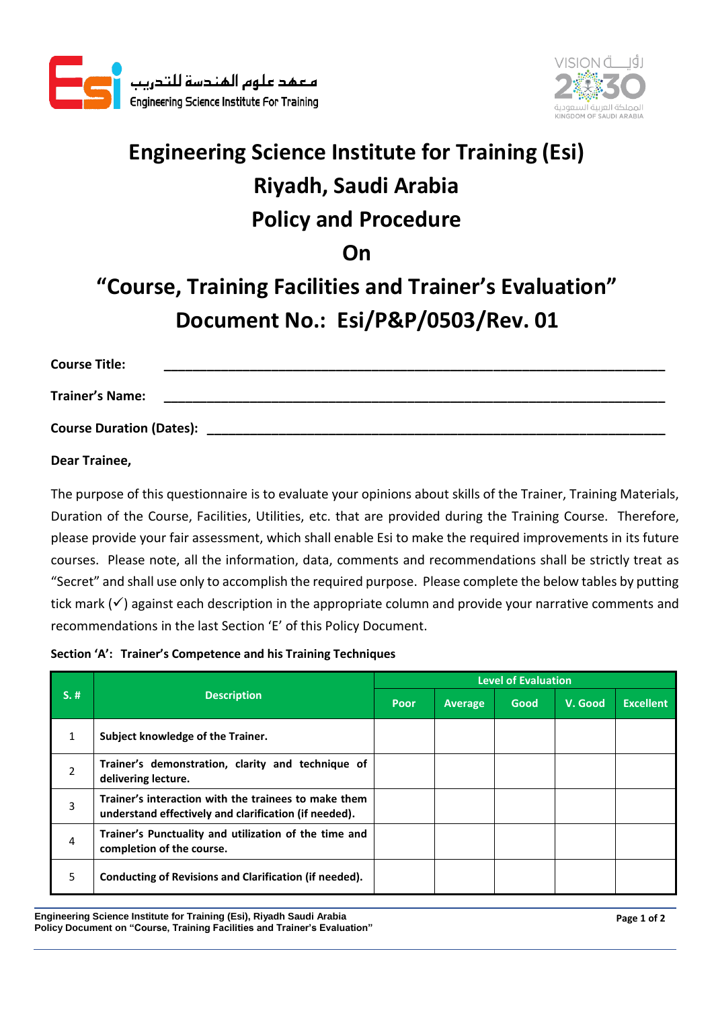



# **Engineering Science Institute for Training (Esi) Riyadh, Saudi Arabia Policy and Procedure On**

# **"Course, Training Facilities and Trainer's Evaluation" Document No.: Esi/P&P/0503/Rev. 01**

| <b>Course Title:</b>            |  |
|---------------------------------|--|
| <b>Trainer's Name:</b>          |  |
| <b>Course Duration (Dates):</b> |  |

# **Dear Trainee,**

The purpose of this questionnaire is to evaluate your opinions about skills of the Trainer, Training Materials, Duration of the Course, Facilities, Utilities, etc. that are provided during the Training Course. Therefore, please provide your fair assessment, which shall enable Esi to make the required improvements in its future courses. Please note, all the information, data, comments and recommendations shall be strictly treat as "Secret" and shall use only to accomplish the required purpose. Please complete the below tables by putting tick mark  $(\checkmark)$  against each description in the appropriate column and provide your narrative comments and recommendations in the last Section 'E' of this Policy Document.

### **Section 'A': Trainer's Competence and his Training Techniques**

| S. #           | <b>Description</b>                                                                                            | <b>Level of Evaluation</b> |         |      |         |                  |  |  |
|----------------|---------------------------------------------------------------------------------------------------------------|----------------------------|---------|------|---------|------------------|--|--|
|                |                                                                                                               | Poor                       | Average | Good | V. Good | <b>Excellent</b> |  |  |
|                | Subject knowledge of the Trainer.                                                                             |                            |         |      |         |                  |  |  |
| $\mathfrak{p}$ | Trainer's demonstration, clarity and technique of<br>delivering lecture.                                      |                            |         |      |         |                  |  |  |
| 3              | Trainer's interaction with the trainees to make them<br>understand effectively and clarification (if needed). |                            |         |      |         |                  |  |  |
| 4              | Trainer's Punctuality and utilization of the time and<br>completion of the course.                            |                            |         |      |         |                  |  |  |
| 5              | Conducting of Revisions and Clarification (if needed).                                                        |                            |         |      |         |                  |  |  |

**Engineering Science Institute for Training (Esi), Riyadh Saudi Arabia Policy Document on "Course, Training Facilities and Trainer's Evaluation"**